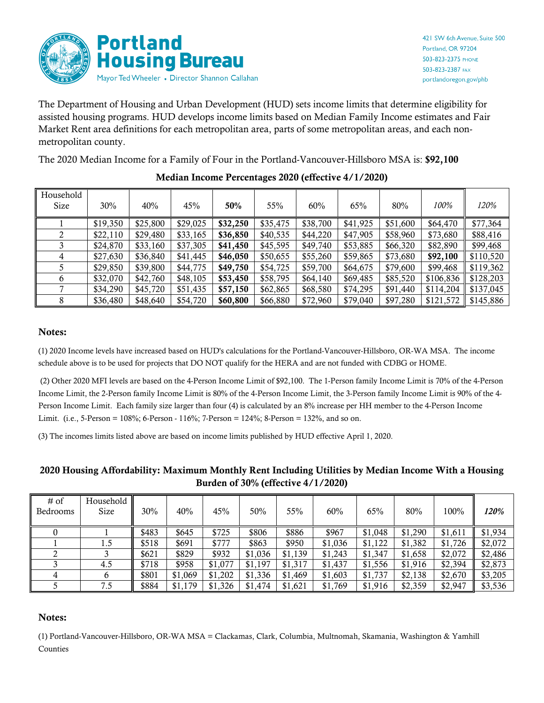

The Department of Housing and Urban Development (HUD) sets income limits that determine eligibility for assisted housing programs. HUD develops income limits based on Median Family Income estimates and Fair Market Rent area definitions for each metropolitan area, parts of some metropolitan areas, and each nonmetropolitan county.

The 2020 Median Income for a Family of Four in the Portland-Vancouver-Hillsboro MSA is: \$92,100

| Household<br>Size | 30%      | 40%      | 45%      | 50%      | 55%      | 60%      | 65%      | 80%      | 100%      | 120%      |
|-------------------|----------|----------|----------|----------|----------|----------|----------|----------|-----------|-----------|
|                   | \$19,350 | \$25,800 | \$29,025 | \$32,250 | \$35,475 | \$38,700 | \$41,925 | \$51,600 | \$64,470  | \$77,364  |
|                   | \$22,110 | \$29,480 | \$33,165 | \$36,850 | \$40,535 | \$44,220 | \$47,905 | \$58,960 | \$73,680  | \$88,416  |
| 3                 | \$24,870 | \$33,160 | \$37,305 | \$41,450 | \$45,595 | \$49,740 | \$53,885 | \$66,320 | \$82,890  | \$99,468  |
| 4                 | \$27,630 | \$36,840 | \$41,445 | \$46,050 | \$50,655 | \$55,260 | \$59,865 | \$73,680 | \$92,100  | \$110,520 |
|                   | \$29,850 | \$39,800 | \$44,775 | \$49,750 | \$54,725 | \$59,700 | \$64,675 | \$79,600 | \$99,468  | \$119,362 |
| 6                 | \$32,070 | \$42,760 | \$48,105 | \$53,450 | \$58,795 | \$64,140 | \$69,485 | \$85,520 | \$106,836 | \$128,203 |
|                   | \$34,290 | \$45,720 | \$51,435 | \$57,150 | \$62,865 | \$68,580 | \$74,295 | \$91,440 | \$114,204 | \$137,045 |
| 8                 | \$36,480 | \$48,640 | \$54,720 | \$60,800 | \$66,880 | \$72,960 | \$79,040 | \$97,280 | \$121,572 | \$145,886 |

## Median Income Percentages 2020 (effective 4/1/2020)

## Notes:

(1) 2020 Income levels have increased based on HUD's calculations for the Portland-Vancouver-Hillsboro, OR-WA MSA. The income schedule above is to be used for projects that DO NOT qualify for the HERA and are not funded with CDBG or HOME.

(2) Other 2020 MFI levels are based on the 4-Person Income Limit of \$92,100. The 1-Person family Income Limit is 70% of the 4-Person Income Limit, the 2-Person family Income Limit is 80% of the 4-Person Income Limit, the 3-Person family Income Limit is 90% of the 4- Person Income Limit. Each family size larger than four (4) is calculated by an 8% increase per HH member to the 4-Person Income Limit. (i.e., 5-Person = 108%; 6-Person - 116%; 7-Person =  $124\%$ ; 8-Person = 132%, and so on.

(3) The incomes limits listed above are based on income limits published by HUD effective April 1, 2020.

## 2020 Housing Affordability: Maximum Monthly Rent Including Utilities by Median Income With a Housing Burden of 30% (effective 4/1/2020)

| $#$ of<br><b>Bedrooms</b> | Household<br>Size | 30%   | 40%     | 45%     | 50%     | 55%     | 60%     | 65%     | 80%     | 100%    | <i>120%</i> |
|---------------------------|-------------------|-------|---------|---------|---------|---------|---------|---------|---------|---------|-------------|
|                           |                   | \$483 | \$645   | \$725   | \$806   | \$886   | \$967   | \$1,048 | \$1,290 | \$1,611 | \$1,934     |
|                           | 1.5               | \$518 | \$691   | \$777   | \$863   | \$950   | \$1,036 | \$1,122 | \$1,382 | \$1,726 | \$2,072     |
|                           |                   | \$621 | \$829   | \$932   | \$1,036 | \$1,139 | \$1,243 | \$1,347 | \$1,658 | \$2,072 | \$2,486     |
|                           | 4.5               | \$718 | \$958   | \$1,077 | \$1,197 | \$1,317 | \$1,437 | \$1,556 | \$1,916 | \$2,394 | \$2,873     |
|                           |                   | \$801 | \$1,069 | \$1,202 | \$1,336 | \$1,469 | \$1,603 | \$1,737 | \$2,138 | \$2,670 | \$3,205     |
|                           | 7.5               | \$884 | \$1,179 | \$1,326 | \$1,474 | \$1,621 | \$1,769 | \$1,916 | \$2,359 | \$2,947 | \$3,536     |

## Notes:

(1) Portland-Vancouver-Hillsboro, OR-WA MSA = Clackamas, Clark, Columbia, Multnomah, Skamania, Washington & Yamhill Counties